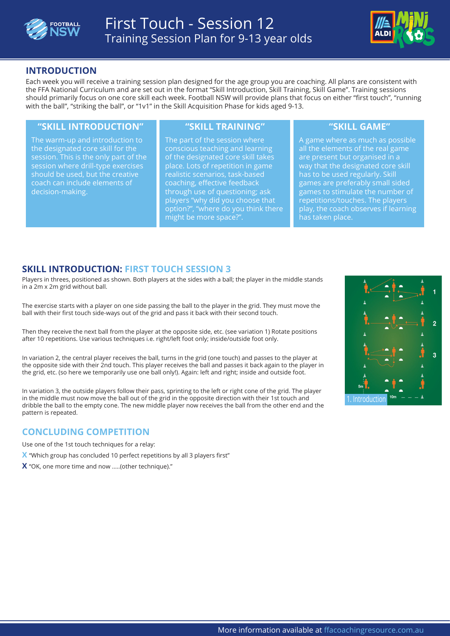



## **INTRODUCTION**

Each week you will receive a training session plan designed for the age group you are coaching. All plans are consistent with the FFA National Curriculum and are set out in the format "Skill Introduction, Skill Training, Skill Game". Training sessions should primarily focus on one core skill each week. Football NSW will provide plans that focus on either "first touch", "running with the ball", "striking the ball", or "1v1" in the Skill Acquisition Phase for kids aged 9-13.

#### **"SKILL INTRODUCTION" "SKILL TRAINING" "SKILL GAME"**

The warm-up and introduction to the designated core skill for the session. This is the only part of the session where drill-type exercises should be used, but the creative coach can include elements of decision-making.

The part of the session where conscious teaching and learning of the designated core skill takes place. Lots of repetition in game realistic scenarios, task-based coaching, effective feedback through use of questioning; ask players "why did you choose that option?", "where do you think there might be more space?".

A game where as much as possible all the elements of the real game are present but organised in a way that the designated core skill has to be used regularly. Skill games are preferably small sided games to stimulate the number of repetitions/touches. The players play, the coach observes if learning has taken place.

## **SKILL INTRODUCTION: FIRST TOUCH SESSION 3**

Players in threes, positioned as shown. Both players at the sides with a ball; the player in the middle stands in a 2m x 2m grid without ball.

The exercise starts with a player on one side passing the ball to the player in the grid. They must move the ball with their first touch side-ways out of the grid and pass it back with their second touch.

Then they receive the next ball from the player at the opposite side, etc. (see variation 1) Rotate positions after 10 repetitions. Use various techniques i.e. right/left foot only; inside/outside foot only.

In variation 2, the central player receives the ball, turns in the grid (one touch) and passes to the player at the opposite side with their 2nd touch. This player receives the ball and passes it back again to the player in the grid, etc. (so here we temporarily use one ball only!). Again: left and right; inside and outside foot.

In variation 3, the outside players follow their pass, sprinting to the left or right cone of the grid. The player in the middle must now move the ball out of the grid in the opposite direction with their 1st touch and dribble the ball to the empty cone. The new middle player now receives the ball from the other end and the pattern is repeated.

### **CONCLUDING COMPETITION**

Use one of the 1st touch techniques for a relay:

- **X** "Which group has concluded 10 perfect repetitions by all 3 players first"
- **X** "OK, one more time and now .....(other technique)."